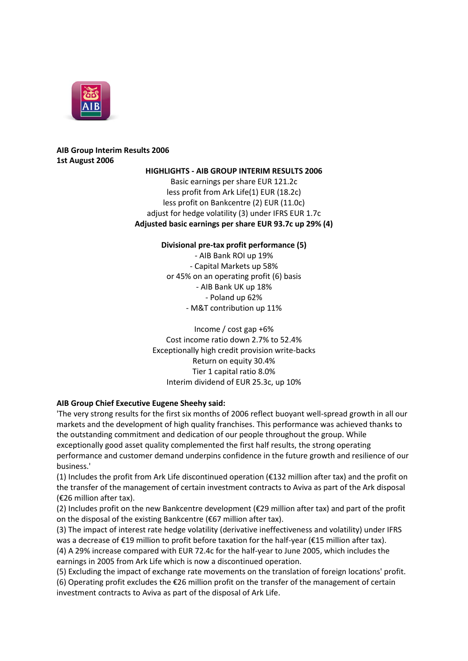

# **AIB Group Interim Results 2006 1st August 2006**

### **HIGHLIGHTS - AIB GROUP INTERIM RESULTS 2006**

Basic earnings per share EUR 121.2c less profit from Ark Life(1) EUR (18.2c) less profit on Bankcentre (2) EUR (11.0c) adjust for hedge volatility (3) under IFRS EUR 1.7c **Adjusted basic earnings per share EUR 93.7c up 29% (4)**

## **Divisional pre-tax profit performance (5)**

- AIB Bank ROI up 19% - Capital Markets up 58% or 45% on an operating profit (6) basis - AIB Bank UK up 18% - Poland up 62% - M&T contribution up 11%

Income / cost gap +6% Cost income ratio down 2.7% to 52.4% Exceptionally high credit provision write-backs Return on equity 30.4% Tier 1 capital ratio 8.0% Interim dividend of EUR 25.3c, up 10%

## **AIB Group Chief Executive Eugene Sheehy said:**

'The very strong results for the first six months of 2006 reflect buoyant well-spread growth in all our markets and the development of high quality franchises. This performance was achieved thanks to the outstanding commitment and dedication of our people throughout the group. While exceptionally good asset quality complemented the first half results, the strong operating performance and customer demand underpins confidence in the future growth and resilience of our business.'

(1) Includes the profit from Ark Life discontinued operation (€132 million after tax) and the profit on the transfer of the management of certain investment contracts to Aviva as part of the Ark disposal (€26 million after tax).

(2) Includes profit on the new Bankcentre development (€29 million after tax) and part of the profit on the disposal of the existing Bankcentre (€67 million after tax).

(3) The impact of interest rate hedge volatility (derivative ineffectiveness and volatility) under IFRS was a decrease of €19 million to profit before taxation for the half-year (€15 million after tax). (4) A 29% increase compared with EUR 72.4c for the half-year to June 2005, which includes the

earnings in 2005 from Ark Life which is now a discontinued operation.

(5) Excluding the impact of exchange rate movements on the translation of foreign locations' profit.

(6) Operating profit excludes the €26 million profit on the transfer of the management of certain investment contracts to Aviva as part of the disposal of Ark Life.